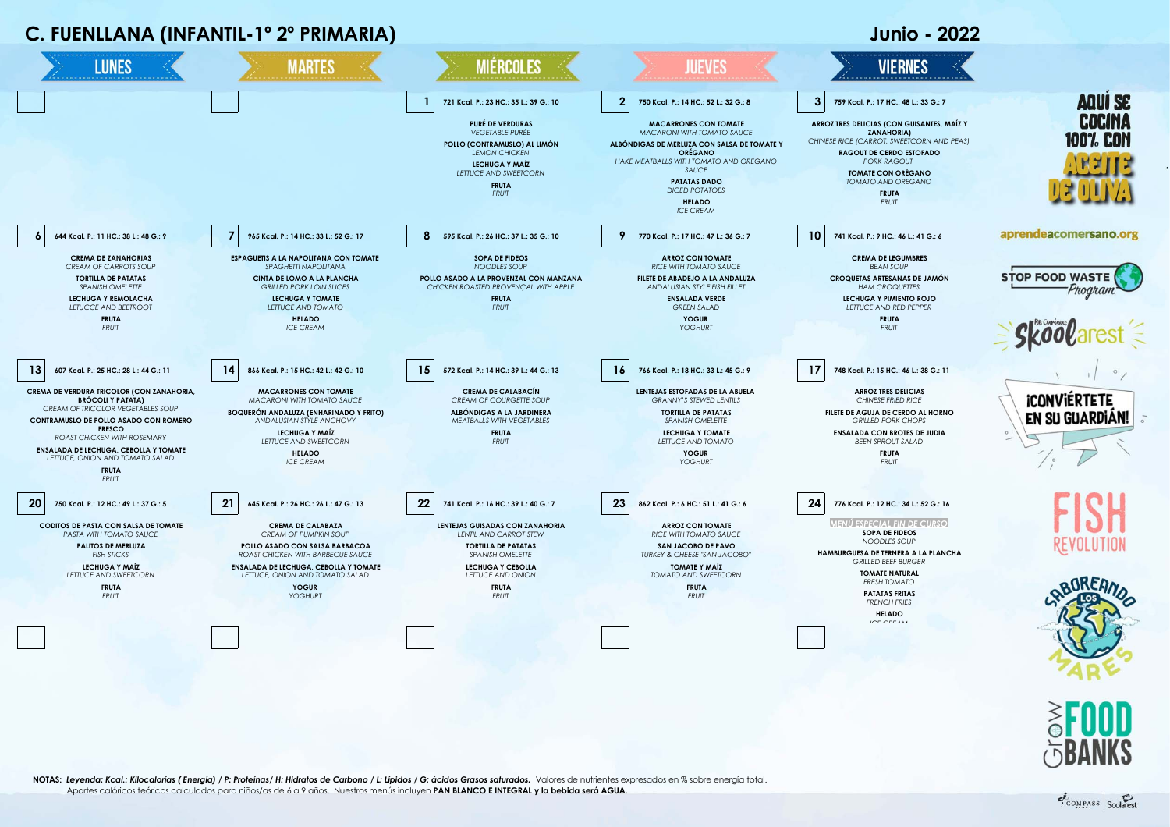



**NOTAS:** *Leyenda: Kcal.: Kilocalorías ( Energía) / P: Proteínas/ H: Hidratos de Carbono / L: Lípidos / G: ácidos Grasos saturados.*Valores de nutrientes expresados en % sobre energía total. Aportes calóricos teóricos calculados para niños/as de 6 a 9 años. Nuestros menús incluyen **PAN BLANCO E INTEGRAL y la bebida será AGUA.**

COMPASS Scolares